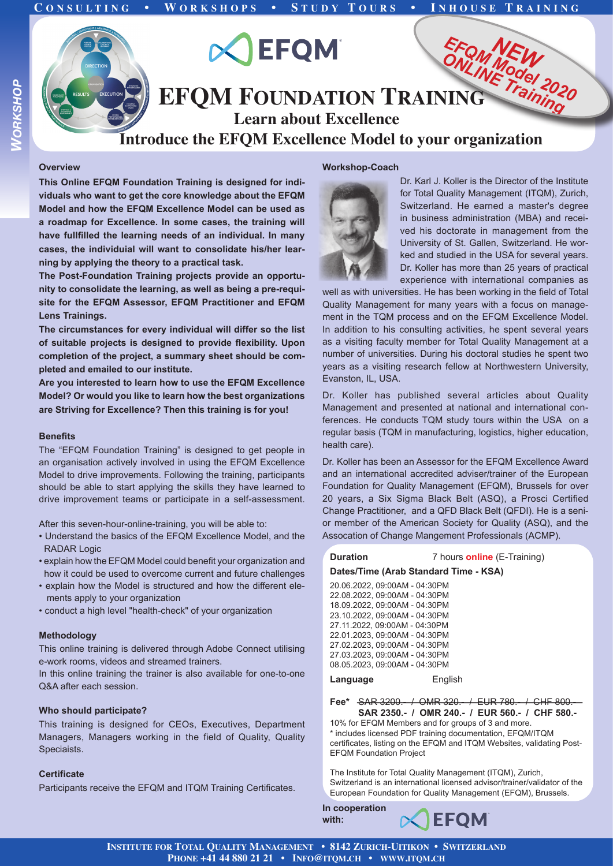

#### **Overview**

**This Online EFQM Foundation Training is designed for individuals who want to get the core knowledge about the EFQM Model and how the EFQM Excellence Model can be used as a roadmap for Excellence. In some cases, the training will have fullfilled the learning needs of an individual. In many cases, the individuial will want to consolidate his/her learning by applying the theory to a practical task.** 

**The Post-Foundation Training projects provide an opportunity to consolidate the learning, as well as being a pre-requisite for the EFQM Assessor, EFQM Practitioner and EFQM Lens Trainings.** 

**The circumstances for every individual will differ so the list of suitable projects is designed to provide flexibility. Upon completion of the project, a summary sheet should be completed and emailed to our institute.** 

**Are you interested to learn how to use the EFQM Excellence Model? Or would you like to learn how the best organizations are Striving for Excellence? Then this training is for you!**

### **Benefits**

The "EFQM Foundation Training" is designed to get people in an organisation actively involved in using the EFQM Excellence Model to drive improvements. Following the training, participants should be able to start applying the skills they have learned to drive improvement teams or participate in a self-assessment.

After this seven-hour-online-training, you will be able to:

- Understand the basics of the EFQM Excellence Model, and the RADAR Logic
- explain how the EFQM Model could benefit your organization and how it could be used to overcome current and future challenges
- explain how the Model is structured and how the different ele ments apply to your organization
- conduct a high level "health-check" of your organization

#### **Methodology**

This online training is delivered through Adobe Connect utilising e-work rooms, videos and streamed trainers.

In this online training the trainer is also available for one-to-one Q&A after each session.

## **Who should participate?**

This training is designed for CEOs, Executives, Department Managers, Managers working in the field of Quality, Quality Speciaists.

# **Certificate**

Participants receive the EFQM and ITQM Training Certificates.

#### **Workshop-Coach**



Dr. Karl J. Koller is the Director of the Institute for Total Quality Management (ITQM), Zurich, Switzerland. He earned a master's degree in business administration (MBA) and received his doctorate in management from the University of St. Gallen, Switzerland. He worked and studied in the USA for several years. Dr. Koller has more than 25 years of practical experience with international companies as

well as with universities. He has been working in the field of Total Quality Management for many years with a focus on management in the TQM process and on the EFQM Excellence Model. In addition to his consulting activities, he spent several years as a visiting faculty member for Total Quality Management at a number of universities. During his doctoral studies he spent two years as a visiting research fellow at Northwestern University, Evanston, IL, USA.

Dr. Koller has published several articles about Quality Management and presented at national and international conferences. He conducts TQM study tours within the USA on a regular basis (TQM in manufacturing, logistics, higher education, health care).

Dr. Koller has been an Assessor for the EFQM Excellence Award and an international accredited adviser/trainer of the European Foundation for Quality Management (EFQM), Brussels for over 20 years, a Six Sigma Black Belt (ASQ), a Prosci Certified Change Practitioner, and a QFD Black Belt (QFDI). He is a senior member of the American Society for Quality (ASQ), and the Assocation of Change Mangement Professionals (ACMP).

**Duration** 7 hours **online** (E-Training)

# **Dates/Time (Arab Standard Time - KSA)**

| 20.06.2022. 09:00AM - 04:30PM |  |
|-------------------------------|--|
| 22.08.2022. 09:00AM - 04:30PM |  |
| 18.09.2022. 09:00AM - 04:30PM |  |
| 23.10.2022. 09:00AM - 04:30PM |  |
| 27.11.2022. 09:00AM - 04:30PM |  |
| 22.01.2023. 09:00AM - 04:30PM |  |
| 27.02.2023. 09:00AM - 04:30PM |  |
| 27.03.2023. 09:00AM - 04:30PM |  |
| 08.05.2023. 09:00AM - 04:30PM |  |
|                               |  |

Language **English** 

**Fee\*** SAR 3200.- / OMR 320.- / EUR 780.- / CHF 800.- **SAR 2350.- / OMR 240.- / EUR 560.- / CHF 580.-**

10% for EFQM Members and for groups of 3 and more. \* includes licensed PDF training documentation, EFQM/ITQM certificates, listing on the EFQM and ITQM Websites, validating Post-EFQM Foundation Project

The Institute for Total Quality Management (ITQM), Zurich, Switzerland is an international licensed advisor/trainer/validator of the European Foundation for Quality Management (EFQM), Brussels.

**In cooperation with:**